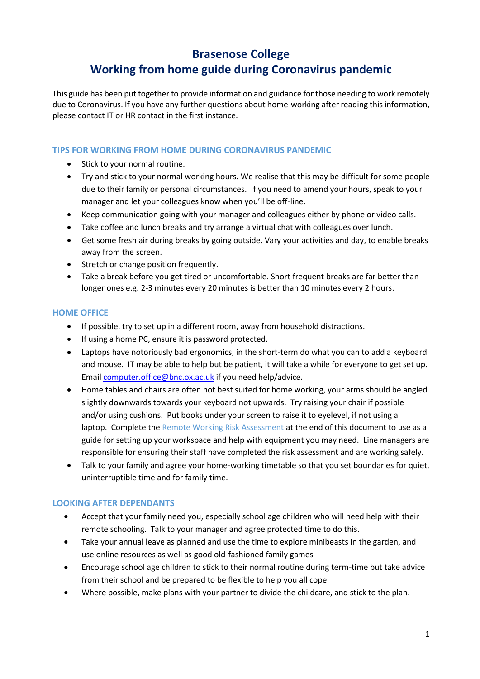### **Brasenose College**

## **Working from home guide during Coronavirus pandemic**

This guide has been put together to provide information and guidance for those needing to work remotely due to Coronavirus. If you have any further questions about home-working after reading this information, please contact IT or HR contact in the first instance.

#### **TIPS FOR WORKING FROM HOME DURING CORONAVIRUS PANDEMIC**

- Stick to your normal routine.
- Try and stick to your normal working hours. We realise that this may be difficult for some people due to their family or personal circumstances. If you need to amend your hours, speak to your manager and let your colleagues know when you'll be off-line.
- Keep communication going with your manager and colleagues either by phone or video calls.
- Take coffee and lunch breaks and try arrange a virtual chat with colleagues over lunch.
- Get some fresh air during breaks by going outside. Vary your activities and day, to enable breaks away from the screen.
- Stretch or change position frequently.
- Take a break before you get tired or uncomfortable. Short frequent breaks are far better than longer ones e.g. 2-3 minutes every 20 minutes is better than 10 minutes every 2 hours.

#### **HOME OFFICE**

- If possible, try to set up in a different room, away from household distractions.
- If using a home PC, ensure it is password protected.
- Laptops have notoriously bad ergonomics, in the short-term do what you can to add a keyboard and mouse. IT may be able to help but be patient, it will take a while for everyone to get set up. Email [computer.office@bnc.ox.ac.uk](mailto:computer.office@bnc.ox.ac.uk) if you need help/advice.
- Home tables and chairs are often not best suited for home working, your arms should be angled slightly downwards towards your keyboard not upwards. Try raising your chair if possible and/or using cushions. Put books under your screen to raise it to eyelevel, if not using a laptop. Complete the Remote Working Risk Assessment at the end of this document to use as a guide for setting up your workspace and help with equipment you may need. Line managers are responsible for ensuring their staff have completed the risk assessment and are working safely.
- Talk to your family and agree your home-working timetable so that you set boundaries for quiet, uninterruptible time and for family time.

#### **LOOKING AFTER DEPENDANTS**

- Accept that your family need you, especially school age children who will need help with their remote schooling. Talk to your manager and agree protected time to do this.
- Take your annual leave as planned and use the time to explore minibeasts in the garden, and use online resources as well as good old-fashioned family games
- Encourage school age children to stick to their normal routine during term-time but take advice from their school and be prepared to be flexible to help you all cope
- Where possible, make plans with your partner to divide the childcare, and stick to the plan.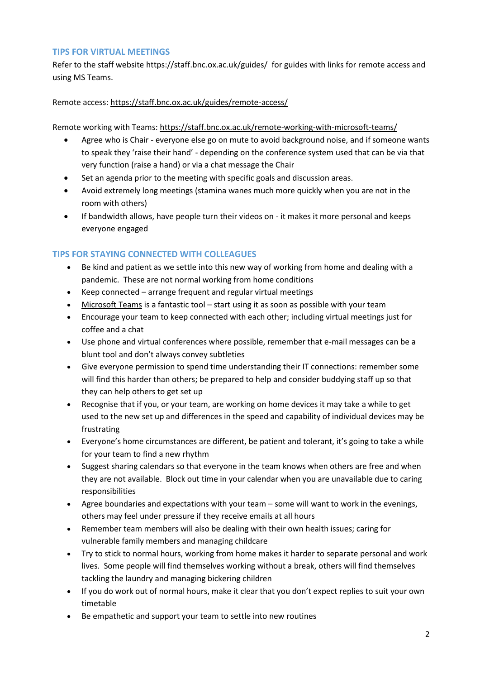#### **TIPS FOR VIRTUAL MEETINGS**

Refer to the staff website<https://staff.bnc.ox.ac.uk/guides/> for guides with links for remote access and using MS Teams.

#### Remote access:<https://staff.bnc.ox.ac.uk/guides/remote-access/>

Remote working with Teams:<https://staff.bnc.ox.ac.uk/remote-working-with-microsoft-teams/>

- Agree who is Chair everyone else go on mute to avoid background noise, and if someone wants to speak they 'raise their hand' - depending on the conference system used that can be via that very function (raise a hand) or via a chat message the Chair
- Set an agenda prior to the meeting with specific goals and discussion areas.
- Avoid extremely long meetings (stamina wanes much more quickly when you are not in the room with others)
- If bandwidth allows, have people turn their videos on it makes it more personal and keeps everyone engaged

#### **TIPS FOR STAYING CONNECTED WITH COLLEAGUES**

- Be kind and patient as we settle into this new way of working from home and dealing with a pandemic. These are not normal working from home conditions
- Keep connected arrange frequent and regular virtual meetings
- [Microsoft Teams](https://help.it.ox.ac.uk/nexus365/teams-how-do-i) is a fantastic tool start using it as soon as possible with your team
- Encourage your team to keep connected with each other; including virtual meetings just for coffee and a chat
- Use phone and virtual conferences where possible, remember that e-mail messages can be a blunt tool and don't always convey subtleties
- Give everyone permission to spend time understanding their IT connections: remember some will find this harder than others; be prepared to help and consider buddying staff up so that they can help others to get set up
- Recognise that if you, or your team, are working on home devices it may take a while to get used to the new set up and differences in the speed and capability of individual devices may be frustrating
- Everyone's home circumstances are different, be patient and tolerant, it's going to take a while for your team to find a new rhythm
- Suggest sharing calendars so that everyone in the team knows when others are free and when they are not available. Block out time in your calendar when you are unavailable due to caring responsibilities
- Agree boundaries and expectations with your team some will want to work in the evenings, others may feel under pressure if they receive emails at all hours
- Remember team members will also be dealing with their own health issues; caring for vulnerable family members and managing childcare
- Try to stick to normal hours, working from home makes it harder to separate personal and work lives. Some people will find themselves working without a break, others will find themselves tackling the laundry and managing bickering children
- If you do work out of normal hours, make it clear that you don't expect replies to suit your own timetable
- Be empathetic and support your team to settle into new routines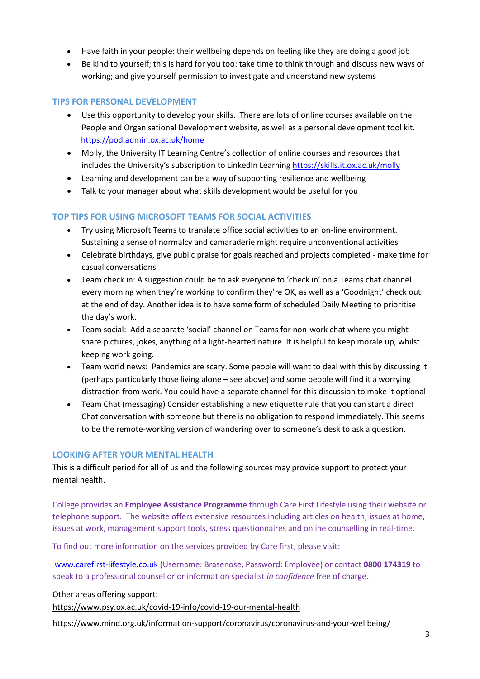- Have faith in your people: their wellbeing depends on feeling like they are doing a good job
- Be kind to yourself; this is hard for you too: take time to think through and discuss new ways of working; and give yourself permission to investigate and understand new systems

#### **TIPS FOR PERSONAL DEVELOPMENT**

- Use this opportunity to develop your skills. There are lots of online courses available on the People and Organisational Development website, as well as a personal development tool kit. <https://pod.admin.ox.ac.uk/home>
- Molly, the University IT Learning Centre's collection of online courses and resources that includes the University's subscription to LinkedIn Learning <https://skills.it.ox.ac.uk/molly>
- Learning and development can be a way of supporting resilience and wellbeing
- Talk to your manager about what skills development would be useful for you

#### **TOP TIPS FOR USING MICROSOFT TEAMS FOR SOCIAL ACTIVITIES**

- Try using Microsoft Teams to translate office social activities to an on-line environment. Sustaining a sense of normalcy and camaraderie might require unconventional activities
- Celebrate birthdays, give public praise for goals reached and projects completed make time for casual conversations
- Team check in: A suggestion could be to ask everyone to 'check in' on a Teams chat channel every morning when they're working to confirm they're OK, as well as a 'Goodnight' check out at the end of day. Another idea is to have some form of scheduled Daily Meeting to prioritise the day's work.
- Team social: Add a separate 'social' channel on Teams for non-work chat where you might share pictures, jokes, anything of a light-hearted nature. It is helpful to keep morale up, whilst keeping work going.
- Team world news: Pandemics are scary. Some people will want to deal with this by discussing it (perhaps particularly those living alone – see above) and some people will find it a worrying distraction from work. You could have a separate channel for this discussion to make it optional
- Team Chat (messaging) Consider establishing a new etiquette rule that you can start a direct Chat conversation with someone but there is no obligation to respond immediately. This seems to be the remote-working version of wandering over to someone's desk to ask a question.

#### **LOOKING AFTER YOUR MENTAL HEALTH**

This is a difficult period for all of us and the following sources may provide support to protect your mental health.

College provides an **Employee Assistance Programme** through Care First Lifestyle using their website or telephone support. The website offers extensive resources including articles on health, issues at home, issues at work, management support tools, stress questionnaires and online counselling in real-time.

To find out more information on the services provided by Care first, please visit:

[www.carefirst-lifestyle.co.uk](http://www.carefirst-lifestyle.co.uk/) (Username: Brasenose, Password: Employee) or contact **0800 174319** to speak to a professional counsellor or information specialist *in confidence* free of charge**.** 

Other areas offering support:

<https://www.psy.ox.ac.uk/covid-19-info/covid-19-our-mental-health>

<https://www.mind.org.uk/information-support/coronavirus/coronavirus-and-your-wellbeing/>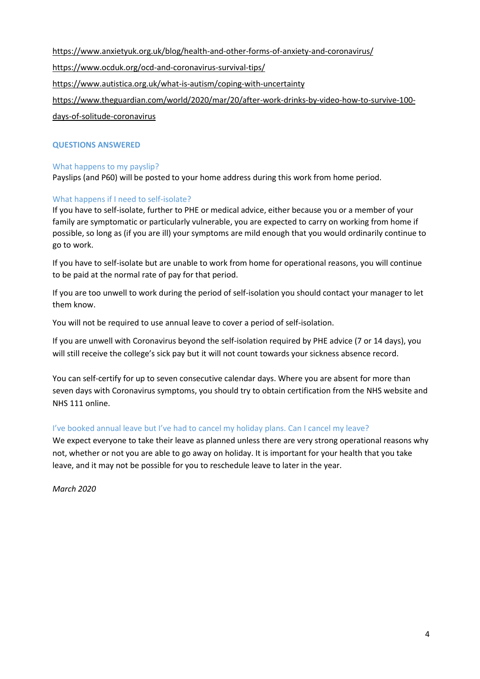<https://www.anxietyuk.org.uk/blog/health-and-other-forms-of-anxiety-and-coronavirus/>

<https://www.ocduk.org/ocd-and-coronavirus-survival-tips/>

<https://www.autistica.org.uk/what-is-autism/coping-with-uncertainty>

[https://www.theguardian.com/world/2020/mar/20/after-work-drinks-by-video-how-to-survive-100-](https://www.theguardian.com/world/2020/mar/20/after-work-drinks-by-video-how-to-survive-100-days-of-solitude-coronavirus)

[days-of-solitude-coronavirus](https://www.theguardian.com/world/2020/mar/20/after-work-drinks-by-video-how-to-survive-100-days-of-solitude-coronavirus)

#### **QUESTIONS ANSWERED**

#### What happens to my payslip?

Payslips (and P60) will be posted to your home address during this work from home period.

#### What happens if I need to self-isolate?

If you have to self-isolate, further to PHE or medical advice, either because you or a member of your family are symptomatic or particularly vulnerable, you are expected to carry o[n working from home](https://hr.admin.ox.ac.uk/working-from-home) if possible, so long as (if you are ill) your symptoms are mild enough that you would ordinarily continue to go to work.

If you have to self-isolate but are unable to work from home for operational reasons, you will continue to be paid at the normal rate of pay for that period.

If you are too unwell to work during the period of self-isolation you should contact your manager to let them know.

You will not be required to use annual leave to cover a period of self-isolation.

If you are unwell with Coronavirus beyond the self-isolation required by PHE advice (7 or 14 days), you will still receive the college's sick pay but it will not count towards your sickness absence record.

You can self-certify for up to seven consecutive calendar days. Where you are absent for more than seven days with Coronavirus symptoms, you should try to obtain certification from the NHS website and NHS 111 online.

#### I've booked annual leave but I've had to cancel my holiday plans. Can I cancel my leave?

We expect everyone to take their leave as planned unless there are very strong operational reasons why not, whether or not you are able to go away on holiday. It is important for your health that you take leave, and it may not be possible for you to reschedule leave to later in the year.

*March 2020*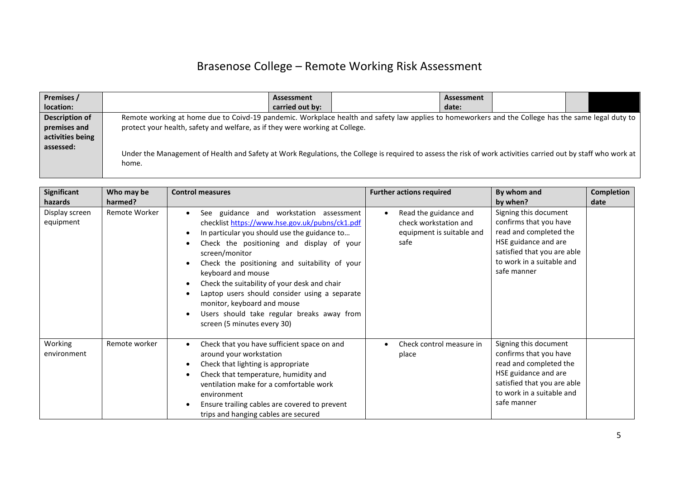# Brasenose College – Remote Working Risk Assessment

| Premises /       |                                                                                                                                                                        | Assessment      |  | Assessment |  |  |  |
|------------------|------------------------------------------------------------------------------------------------------------------------------------------------------------------------|-----------------|--|------------|--|--|--|
| location:        |                                                                                                                                                                        | carried out by: |  | date:      |  |  |  |
| Description of   | Remote working at home due to Coivd-19 pandemic. Workplace health and safety law applies to homeworkers and the College has the same legal duty to                     |                 |  |            |  |  |  |
| premises and     | protect your health, safety and welfare, as if they were working at College.                                                                                           |                 |  |            |  |  |  |
| activities being |                                                                                                                                                                        |                 |  |            |  |  |  |
| assessed:        | Under the Management of Health and Safety at Work Regulations, the College is required to assess the risk of work activities carried out by staff who work at<br>home. |                 |  |            |  |  |  |

| <b>Significant</b>                     | Who may be               | <b>Control measures</b>                                                                                                                                                                                                                                                                                                                                                                                                                                                                      | <b>Further actions required</b>                                                                  | By whom and                                                                                                                                                                              | <b>Completion</b> |
|----------------------------------------|--------------------------|----------------------------------------------------------------------------------------------------------------------------------------------------------------------------------------------------------------------------------------------------------------------------------------------------------------------------------------------------------------------------------------------------------------------------------------------------------------------------------------------|--------------------------------------------------------------------------------------------------|------------------------------------------------------------------------------------------------------------------------------------------------------------------------------------------|-------------------|
| hazards<br>Display screen<br>equipment | harmed?<br>Remote Worker | See guidance and workstation assessment<br>checklist https://www.hse.gov.uk/pubns/ck1.pdf<br>In particular you should use the guidance to<br>Check the positioning and display of your<br>screen/monitor<br>Check the positioning and suitability of your<br>keyboard and mouse<br>Check the suitability of your desk and chair<br>Laptop users should consider using a separate<br>monitor, keyboard and mouse<br>Users should take regular breaks away from<br>screen (5 minutes every 30) | Read the guidance and<br>$\bullet$<br>check workstation and<br>equipment is suitable and<br>safe | by when?<br>Signing this document<br>confirms that you have<br>read and completed the<br>HSE guidance and are<br>satisfied that you are able<br>to work in a suitable and<br>safe manner | date              |
| Working<br>environment                 | Remote worker            | Check that you have sufficient space on and<br>around your workstation<br>Check that lighting is appropriate<br>Check that temperature, humidity and<br>ventilation make for a comfortable work<br>environment<br>Ensure trailing cables are covered to prevent<br>trips and hanging cables are secured                                                                                                                                                                                      | Check control measure in<br>place                                                                | Signing this document<br>confirms that you have<br>read and completed the<br>HSE guidance and are<br>satisfied that you are able<br>to work in a suitable and<br>safe manner             |                   |